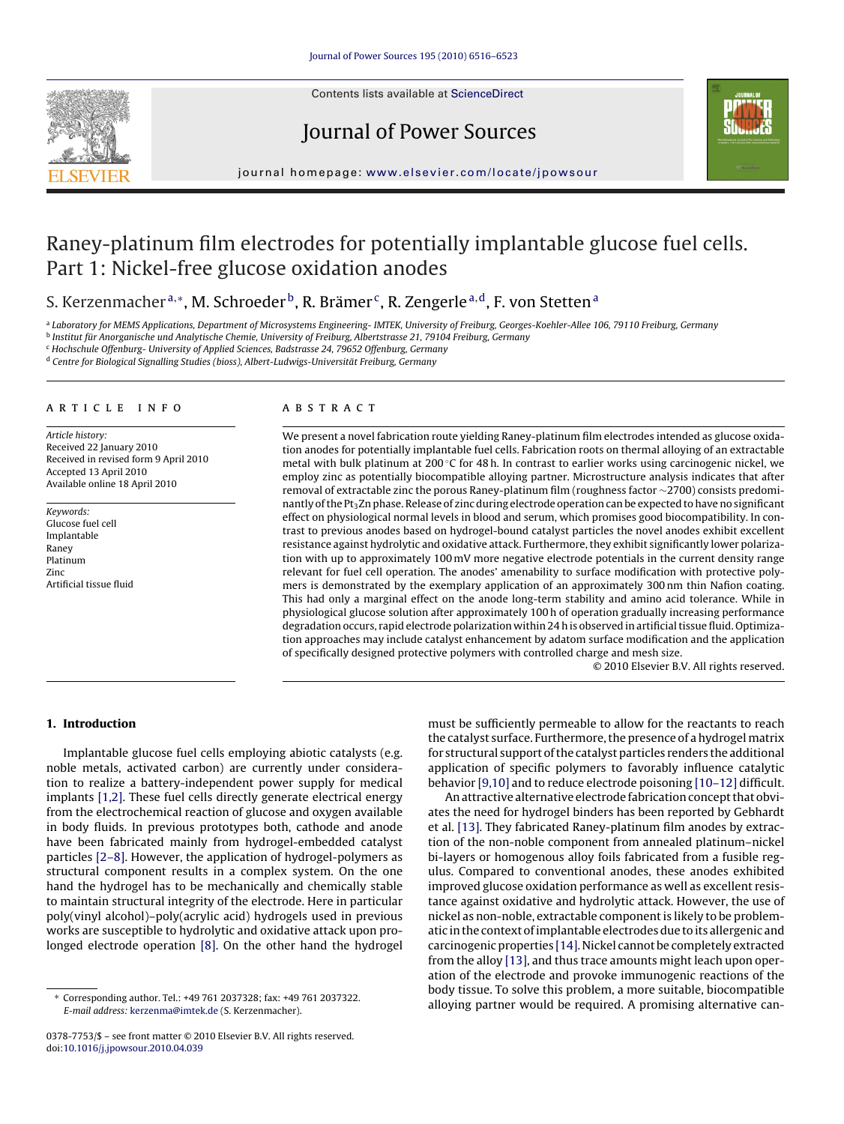

Contents lists available at [ScienceDirect](http://www.sciencedirect.com/science/journal/03787753)

# Journal of Power Sources



journal homepage: [www.elsevier.com/locate/jpowsour](http://www.elsevier.com/locate/jpowsour)

# Raney-platinum film electrodes for potentially implantable glucose fuel cells. Part 1: Nickel-free glucose oxidation anodes

# S. Kerzenmacher<sup>a,∗</sup>, M. Schroeder<sup>b</sup>, R. Brämer<sup>c</sup>, R. Zengerle<sup>a,d</sup>, F. von Stetten<sup>a</sup>

a Laboratory for MEMS Applications, Department of Microsystems Engineering- IMTEK, University of Freiburg, Georges-Koehler-Allee 106, 79110 Freiburg, Germany

<sup>b</sup> Institut für Anorganische und Analytische Chemie, University of Freiburg, Albertstrasse 21, 79104 Freiburg, Germany

<sup>c</sup> Hochschule Offenburg- University of Applied Sciences, Badstrasse 24, 79652 Offenburg, Germany

<sup>d</sup> Centre for Biological Signalling Studies (bioss), Albert-Ludwigs-Universität Freiburg, Germany

#### article info

Article history: Received 22 January 2010 Received in revised form 9 April 2010 Accepted 13 April 2010 Available online 18 April 2010

Keywords: Glucose fuel cell Implantable Raney Platinum Zinc Artificial tissue fluid

### ABSTRACT

We present a novel fabrication route yielding Raney-platinum film electrodes intended as glucose oxidation anodes for potentially implantable fuel cells. Fabrication roots on thermal alloying of an extractable metal with bulk platinum at 200 ℃ for 48 h. In contrast to earlier works using carcinogenic nickel, we employ zinc as potentially biocompatible alloying partner. Microstructure analysis indicates that after removal of extractable zinc the porous Raney-platinum film (roughness factor ∼2700) consists predominantly of the Pt<sub>3</sub>Zn phase. Release of zinc during electrode operation can be expected to have no significant effect on physiological normal levels in blood and serum, which promises good biocompatibility. In contrast to previous anodes based on hydrogel-bound catalyst particles the novel anodes exhibit excellent resistance against hydrolytic and oxidative attack. Furthermore, they exhibit significantly lower polarization with up to approximately 100 mV more negative electrode potentials in the current density range relevant for fuel cell operation. The anodes' amenability to surface modification with protective polymers is demonstrated by the exemplary application of an approximately 300 nm thin Nafion coating. This had only a marginal effect on the anode long-term stability and amino acid tolerance. While in physiological glucose solution after approximately 100 h of operation gradually increasing performance degradation occurs, rapid electrode polarization within 24 h is observed in artificial tissue fluid. Optimization approaches may include catalyst enhancement by adatom surface modification and the application of specifically designed protective polymers with controlled charge and mesh size.

© 2010 Elsevier B.V. All rights reserved.

# **1. Introduction**

Implantable glucose fuel cells employing abiotic catalysts (e.g. noble metals, activated carbon) are currently under consideration to realize a battery-independent power supply for medical implants [\[1,2\]. T](#page-7-0)hese fuel cells directly generate electrical energy from the electrochemical reaction of glucose and oxygen available in body fluids. In previous prototypes both, cathode and anode have been fabricated mainly from hydrogel-embedded catalyst particles [\[2–8\]. H](#page-7-0)owever, the application of hydrogel-polymers as structural component results in a complex system. On the one hand the hydrogel has to be mechanically and chemically stable to maintain structural integrity of the electrode. Here in particular poly(vinyl alcohol)–poly(acrylic acid) hydrogels used in previous works are susceptible to hydrolytic and oxidative attack upon prolonged electrode operation [\[8\].](#page-7-0) On the other hand the hydrogel must be sufficiently permeable to allow for the reactants to reach the catalyst surface. Furthermore, the presence of a hydrogel matrix for structural support of the catalyst particles renders the additional application of specific polymers to favorably influence catalytic behavior [\[9,10\]](#page-7-0) and to reduce electrode poisoning [\[10–12\]](#page-7-0) difficult.

An attractive alternative electrode fabrication concept that obviates the need for hydrogel binders has been reported by Gebhardt et al. [\[13\]. T](#page-7-0)hey fabricated Raney-platinum film anodes by extraction of the non-noble component from annealed platinum–nickel bi-layers or homogenous alloy foils fabricated from a fusible regulus. Compared to conventional anodes, these anodes exhibited improved glucose oxidation performance as well as excellent resistance against oxidative and hydrolytic attack. However, the use of nickel as non-noble, extractable component is likely to be problematic in the context of implantable electrodes due to its allergenic and carcinogenic properties [\[14\]. N](#page-7-0)ickel cannot be completely extracted from the alloy [\[13\], a](#page-7-0)nd thus trace amounts might leach upon operation of the electrode and provoke immunogenic reactions of the body tissue. To solve this problem, a more suitable, biocompatible alloying partner would be required. A promising alternative can-

<sup>∗</sup> Corresponding author. Tel.: +49 761 2037328; fax: +49 761 2037322. E-mail address: [kerzenma@imtek.de](mailto:kerzenma@imtek.de) (S. Kerzenmacher).

<sup>0378-7753/\$ –</sup> see front matter © 2010 Elsevier B.V. All rights reserved. doi:[10.1016/j.jpowsour.2010.04.039](dx.doi.org/10.1016/j.jpowsour.2010.04.039)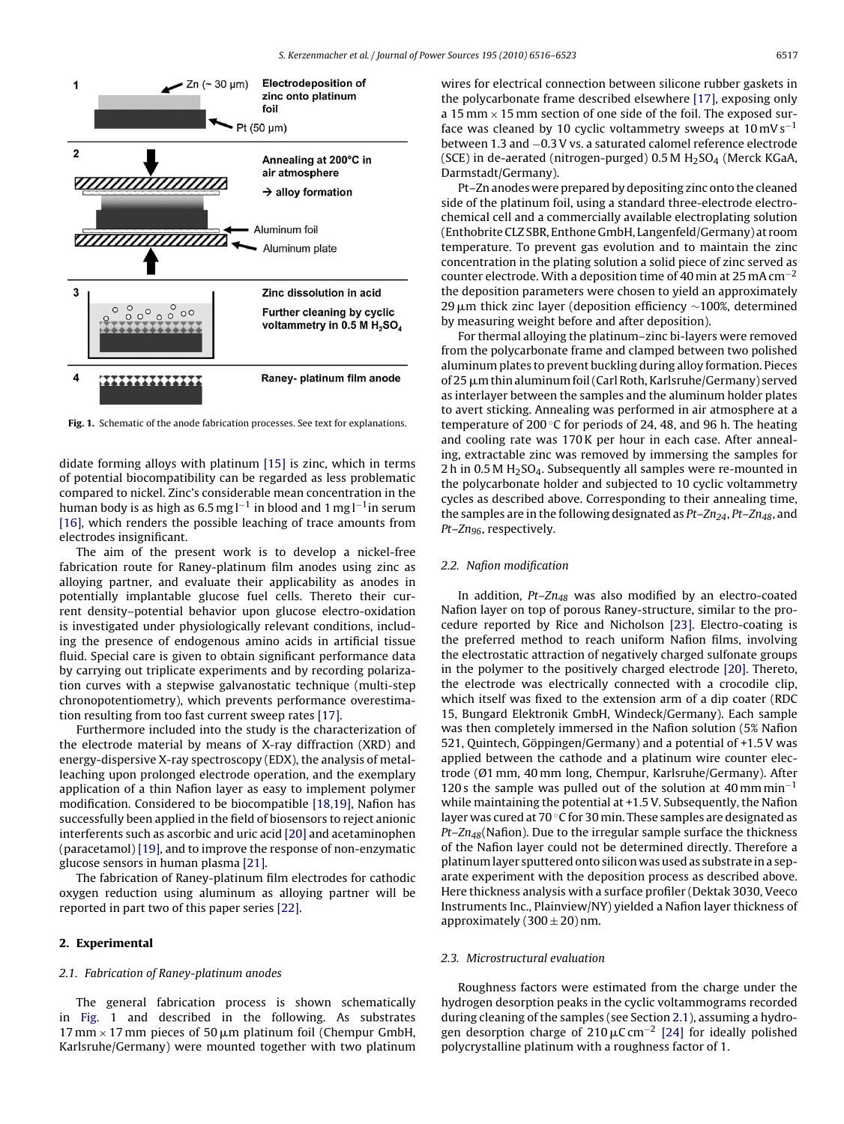

**Fig. 1.** Schematic of the anode fabrication processes. See text for explanations.

didate forming alloys with platinum [\[15\]](#page-7-0) is zinc, which in terms of potential biocompatibility can be regarded as less problematic compared to nickel. Zinc's considerable mean concentration in the human body is as high as 6.5 mg l−<sup>1</sup> in blood and 1 mg l−1in serum [\[16\],](#page-7-0) which renders the possible leaching of trace amounts from electrodes insignificant.

The aim of the present work is to develop a nickel-free fabrication route for Raney-platinum film anodes using zinc as alloying partner, and evaluate their applicability as anodes in potentially implantable glucose fuel cells. Thereto their current density–potential behavior upon glucose electro-oxidation is investigated under physiologically relevant conditions, including the presence of endogenous amino acids in artificial tissue fluid. Special care is given to obtain significant performance data by carrying out triplicate experiments and by recording polarization curves with a stepwise galvanostatic technique (multi-step chronopotentiometry), which prevents performance overestimation resulting from too fast current sweep rates [\[17\].](#page-7-0)

Furthermore included into the study is the characterization of the electrode material by means of X-ray diffraction (XRD) and energy-dispersive X-ray spectroscopy (EDX), the analysis of metalleaching upon prolonged electrode operation, and the exemplary application of a thin Nafion layer as easy to implement polymer modification. Considered to be biocompatible [\[18,19\], N](#page-7-0)afion has successfully been applied in the field of biosensors to reject anionic interferents such as ascorbic and uric acid [\[20\]](#page-7-0) and acetaminophen (paracetamol) [\[19\], a](#page-7-0)nd to improve the response of non-enzymatic glucose sensors in human plasma [\[21\].](#page-7-0)

The fabrication of Raney-platinum film electrodes for cathodic oxygen reduction using aluminum as alloying partner will be reported in part two of this paper series [\[22\].](#page-7-0)

### **2. Experimental**

### 2.1. Fabrication of Raney-platinum anodes

The general fabrication process is shown schematically in Fig. 1 and described in the following. As substrates 17 mm  $\times$  17 mm pieces of 50  $\mu$ m platinum foil (Chempur GmbH, Karlsruhe/Germany) were mounted together with two platinum wires for electrical connection between silicone rubber gaskets in the polycarbonate frame described elsewhere [\[17\], e](#page-7-0)xposing only a 15 mm  $\times$  15 mm section of one side of the foil. The exposed surface was cleaned by 10 cyclic voltammetry sweeps at  $10 \text{ mV s}^{-1}$ between 1.3 and −0.3 V vs. a saturated calomel reference electrode (SCE) in de-aerated (nitrogen-purged)  $0.5$  M  $H<sub>2</sub>SO<sub>4</sub>$  (Merck KGaA, Darmstadt/Germany).

Pt–Zn anodes were prepared by depositing zinc onto the cleaned side of the platinum foil, using a standard three-electrode electrochemical cell and a commercially available electroplating solution (Enthobrite CLZ SBR, Enthone GmbH, Langenfeld/Germany) at room temperature. To prevent gas evolution and to maintain the zinc concentration in the plating solution a solid piece of zinc served as counter electrode. With a deposition time of 40 min at 25 mA cm<sup>-2</sup> the deposition parameters were chosen to yield an approximately 29 μm thick zinc layer (deposition efficiency  $\sim$ 100%, determined by measuring weight before and after deposition).

For thermal alloying the platinum–zinc bi-layers were removed from the polycarbonate frame and clamped between two polished aluminum plates to prevent buckling during alloy formation. Pieces of 25  $\mu$ m thin aluminum foil (Carl Roth, Karlsruhe/Germany) served as interlayer between the samples and the aluminum holder plates to avert sticking. Annealing was performed in air atmosphere at a temperature of 200 $\degree$ C for periods of 24, 48, and 96 h. The heating and cooling rate was 170 K per hour in each case. After annealing, extractable zinc was removed by immersing the samples for 2 h in 0.5 M  $H<sub>2</sub>SO<sub>4</sub>$ . Subsequently all samples were re-mounted in the polycarbonate holder and subjected to 10 cyclic voltammetry cycles as described above. Corresponding to their annealing time, the samples are in the following designated as  $Pt - Zn_{24}$ ,  $Pt - Zn_{48}$ , and Pt-Zn<sub>96</sub>, respectively.

# 2.2. Nafion modification

In addition,  $Pt-Zn_{48}$  was also modified by an electro-coated Nafion layer on top of porous Raney-structure, similar to the procedure reported by Rice and Nicholson [\[23\].](#page-7-0) Electro-coating is the preferred method to reach uniform Nafion films, involving the electrostatic attraction of negatively charged sulfonate groups in the polymer to the positively charged electrode [\[20\]. T](#page-7-0)hereto, the electrode was electrically connected with a crocodile clip, which itself was fixed to the extension arm of a dip coater (RDC 15, Bungard Elektronik GmbH, Windeck/Germany). Each sample was then completely immersed in the Nafion solution (5% Nafion 521, Quintech, Göppingen/Germany) and a potential of +1.5 V was applied between the cathode and a platinum wire counter electrode (Ø1 mm, 40 mm long, Chempur, Karlsruhe/Germany). After 120 s the sample was pulled out of the solution at  $40$  mm min<sup>-1</sup> while maintaining the potential at +1.5 V. Subsequently, the Nafion layer was cured at 70 ◦C for 30 min. These samples are designated as  $Pt-Zn_{48}$ (Nafion). Due to the irregular sample surface the thickness of the Nafion layer could not be determined directly. Therefore a platinum layer sputtered onto silicon was used as substrate in a separate experiment with the deposition process as described above. Here thickness analysis with a surface profiler (Dektak 3030, Veeco Instruments Inc., Plainview/NY) yielded a Nafion layer thickness of approximately  $(300 \pm 20)$  nm.

#### 2.3. Microstructural evaluation

Roughness factors were estimated from the charge under the hydrogen desorption peaks in the cyclic voltammograms recorded during cleaning of the samples (see Section 2.1), assuming a hydrogen desorption charge of 210  $\mu$ C cm<sup>-2</sup> [\[24\]](#page-7-0) for ideally polished polycrystalline platinum with a roughness factor of 1.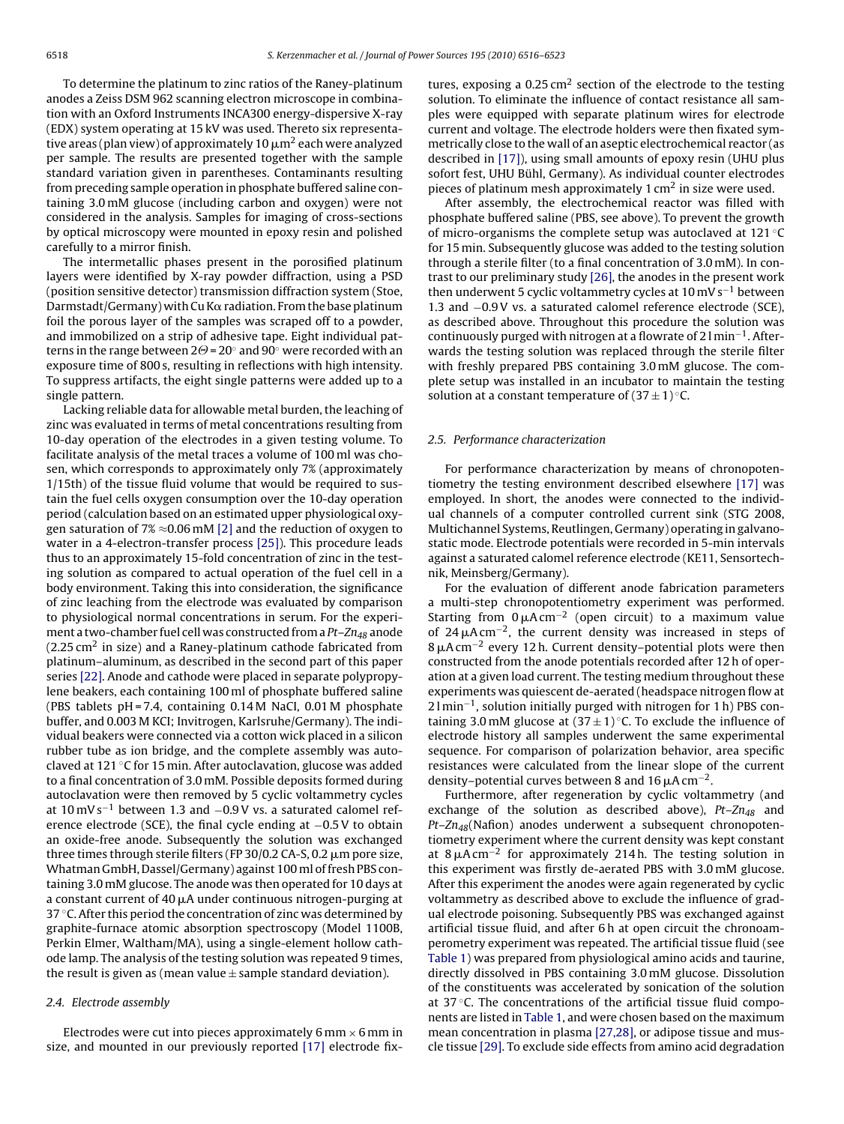To determine the platinum to zinc ratios of the Raney-platinum anodes a Zeiss DSM 962 scanning electron microscope in combination with an Oxford Instruments INCA300 energy-dispersive X-ray (EDX) system operating at 15 kV was used. Thereto six representative areas (plan view) of approximately 10  $\mu$ m $^2$  each were analyzed per sample. The results are presented together with the sample standard variation given in parentheses. Contaminants resulting from preceding sample operation in phosphate buffered saline containing 3.0 mM glucose (including carbon and oxygen) were not considered in the analysis. Samples for imaging of cross-sections by optical microscopy were mounted in epoxy resin and polished carefully to a mirror finish.

The intermetallic phases present in the porosified platinum layers were identified by X-ray powder diffraction, using a PSD (position sensitive detector) transmission diffraction system (Stoe, Darmstadt/Germany) with Cu K $\alpha$  radiation. From the base platinum foil the porous layer of the samples was scraped off to a powder, and immobilized on a strip of adhesive tape. Eight individual patterns in the range between 2 $\Theta$  = 20 $^{\circ}$  and 90 $^{\circ}$  were recorded with an exposure time of 800 s, resulting in reflections with high intensity. To suppress artifacts, the eight single patterns were added up to a single pattern.

Lacking reliable data for allowable metal burden, the leaching of zinc was evaluated in terms of metal concentrations resulting from 10-day operation of the electrodes in a given testing volume. To facilitate analysis of the metal traces a volume of 100 ml was chosen, which corresponds to approximately only 7% (approximately 1/15th) of the tissue fluid volume that would be required to sustain the fuel cells oxygen consumption over the 10-day operation period (calculation based on an estimated upper physiological oxygen saturation of 7%  $\approx$  0.06 mM [\[2\]](#page-7-0) and the reduction of oxygen to water in a 4-electron-transfer process [\[25\]\).](#page-7-0) This procedure leads thus to an approximately 15-fold concentration of zinc in the testing solution as compared to actual operation of the fuel cell in a body environment. Taking this into consideration, the significance of zinc leaching from the electrode was evaluated by comparison to physiological normal concentrations in serum. For the experiment a two-chamber fuel cell was constructed from a  $Pt- Zn_{48}$  anode  $(2.25 \text{ cm}^2 \text{ in size})$  and a Raney-platinum cathode fabricated from platinum–aluminum, as described in the second part of this paper series [\[22\]. A](#page-7-0)node and cathode were placed in separate polypropylene beakers, each containing 100 ml of phosphate buffered saline (PBS tablets pH = 7.4, containing 0.14 M NaCI, 0.01 M phosphate buffer, and 0.003 M KCI; Invitrogen, Karlsruhe/Germany). The individual beakers were connected via a cotton wick placed in a silicon rubber tube as ion bridge, and the complete assembly was autoclaved at 121 ◦C for 15 min. After autoclavation, glucose was added to a final concentration of 3.0 mM. Possible deposits formed during autoclavation were then removed by 5 cyclic voltammetry cycles at  $10 \text{ mV s}^{-1}$  between 1.3 and  $-0.9 \text{V}$  vs. a saturated calomel reference electrode (SCE), the final cycle ending at  $-0.5$  V to obtain an oxide-free anode. Subsequently the solution was exchanged three times through sterile filters (FP 30/0.2 CA-S, 0.2  $\mu$ m pore size, Whatman GmbH, Dassel/Germany) against 100 ml of fresh PBS containing 3.0 mM glucose. The anode was then operated for 10 days at a constant current of 40  $\mu$ A under continuous nitrogen-purging at 37 °C. After this period the concentration of zinc was determined by graphite-furnace atomic absorption spectroscopy (Model 1100B, Perkin Elmer, Waltham/MA), using a single-element hollow cathode lamp. The analysis of the testing solution was repeated 9 times, the result is given as (mean value  $\pm$  sample standard deviation).

#### 2.4. Electrode assembly

Electrodes were cut into pieces approximately  $6 \text{ mm} \times 6 \text{ mm}$  in size, and mounted in our previously reported [\[17\]](#page-7-0) electrode fixtures, exposing a  $0.25 \text{ cm}^2$  section of the electrode to the testing solution. To eliminate the influence of contact resistance all samples were equipped with separate platinum wires for electrode current and voltage. The electrode holders were then fixated symmetrically close to the wall of an aseptic electrochemical reactor (as described in [\[17\]\),](#page-7-0) using small amounts of epoxy resin (UHU plus sofort fest, UHU Bühl, Germany). As individual counter electrodes pieces of platinum mesh approximately 1  $\text{cm}^2$  in size were used.

After assembly, the electrochemical reactor was filled with phosphate buffered saline (PBS, see above). To prevent the growth of micro-organisms the complete setup was autoclaved at 121 ◦C for 15 min. Subsequently glucose was added to the testing solution through a sterile filter (to a final concentration of 3.0 mM). In contrast to our preliminary study [\[26\], t](#page-7-0)he anodes in the present work then underwent 5 cyclic voltammetry cycles at 10 mV s−<sup>1</sup> between 1.3 and −0.9 V vs. a saturated calomel reference electrode (SCE), as described above. Throughout this procedure the solution was continuously purged with nitrogen at a flowrate of 2 l min−1. Afterwards the testing solution was replaced through the sterile filter with freshly prepared PBS containing 3.0 mM glucose. The complete setup was installed in an incubator to maintain the testing solution at a constant temperature of  $(37 \pm 1)$ °C.

#### 2.5. Performance characterization

For performance characterization by means of chronopotentiometry the testing environment described elsewhere [\[17\]](#page-7-0) was employed. In short, the anodes were connected to the individual channels of a computer controlled current sink (STG 2008, Multichannel Systems, Reutlingen, Germany) operating in galvanostatic mode. Electrode potentials were recorded in 5-min intervals against a saturated calomel reference electrode (KE11, Sensortechnik, Meinsberg/Germany).

For the evaluation of different anode fabrication parameters a multi-step chronopotentiometry experiment was performed. Starting from  $0 \mu A$  cm<sup>-2</sup> (open circuit) to a maximum value of 24 $\mu$ A cm<sup>-2</sup>, the current density was increased in steps of  $8 \mu A$  cm<sup>-2</sup> every 12 h. Current density–potential plots were then constructed from the anode potentials recorded after 12 h of operation at a given load current. The testing medium throughout these experiments was quiescent de-aerated (headspace nitrogen flow at 21 min<sup>-1</sup>, solution initially purged with nitrogen for 1 h) PBS containing 3.0 mM glucose at  $(37 \pm 1)$  °C. To exclude the influence of electrode history all samples underwent the same experimental sequence. For comparison of polarization behavior, area specific resistances were calculated from the linear slope of the current density–potential curves between 8 and 16  $\mu$ A cm<sup>-2</sup>.

Furthermore, after regeneration by cyclic voltammetry (and exchange of the solution as described above),  $Pt-Zn_{48}$  and  $Pt$ – $Zn_{48}$ (Nafion) anodes underwent a subsequent chronopotentiometry experiment where the current density was kept constant at  $8 \mu A$  cm<sup>-2</sup> for approximately 214h. The testing solution in this experiment was firstly de-aerated PBS with 3.0 mM glucose. After this experiment the anodes were again regenerated by cyclic voltammetry as described above to exclude the influence of gradual electrode poisoning. Subsequently PBS was exchanged against artificial tissue fluid, and after 6 h at open circuit the chronoamperometry experiment was repeated. The artificial tissue fluid (see [Table 1\) w](#page-3-0)as prepared from physiological amino acids and taurine, directly dissolved in PBS containing 3.0 mM glucose. Dissolution of the constituents was accelerated by sonication of the solution at 37 ◦C. The concentrations of the artificial tissue fluid components are listed in [Table 1, a](#page-3-0)nd were chosen based on the maximum mean concentration in plasma [\[27,28\], o](#page-7-0)r adipose tissue and muscle tissue [\[29\]. T](#page-7-0)o exclude side effects from amino acid degradation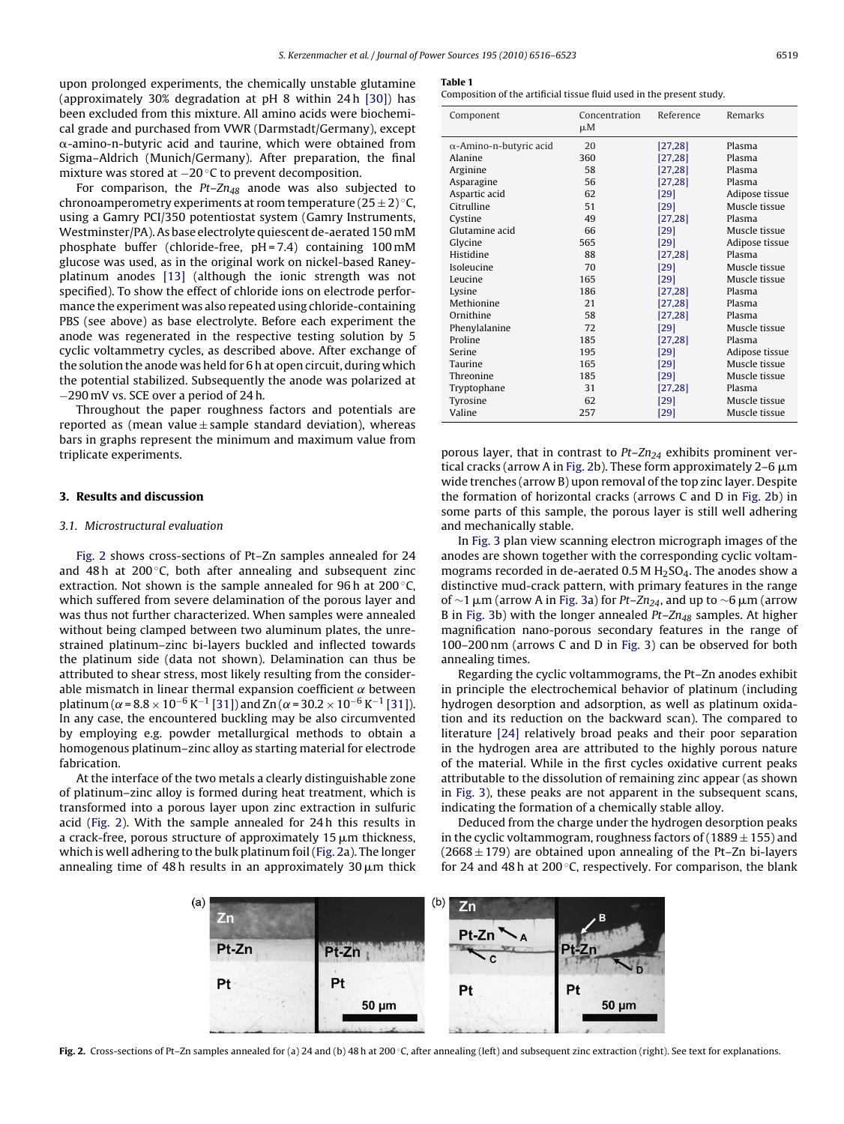<span id="page-3-0"></span>upon prolonged experiments, the chemically unstable glutamine (approximately 30% degradation at pH 8 within 24 h [\[30\]\)](#page-7-0) has been excluded from this mixture. All amino acids were biochemical grade and purchased from VWR (Darmstadt/Germany), except  $\alpha$ -amino-n-butyric acid and taurine, which were obtained from Sigma–Aldrich (Munich/Germany). After preparation, the final mixture was stored at −20 ◦C to prevent decomposition.

For comparison, the  $Pt$ - $Zn_{48}$  anode was also subjected to chronoamperometry experiments at room temperature  $(25 \pm 2)$  °C, using a Gamry PCI/350 potentiostat system (Gamry Instruments, Westminster/PA). As base electrolyte quiescent de-aerated 150 mM phosphate buffer (chloride-free, pH = 7.4) containing 100 mM glucose was used, as in the original work on nickel-based Raneyplatinum anodes [\[13\]](#page-7-0) (although the ionic strength was not specified). To show the effect of chloride ions on electrode performance the experiment was also repeated using chloride-containing PBS (see above) as base electrolyte. Before each experiment the anode was regenerated in the respective testing solution by 5 cyclic voltammetry cycles, as described above. After exchange of the solution the anode was held for 6 h at open circuit, during which the potential stabilized. Subsequently the anode was polarized at −290 mV vs. SCE over a period of 24 h.

Throughout the paper roughness factors and potentials are reported as (mean value  $\pm$  sample standard deviation), whereas bars in graphs represent the minimum and maximum value from triplicate experiments.

#### **3. Results and discussion**

#### 3.1. Microstructural evaluation

Fig. 2 shows cross-sections of Pt–Zn samples annealed for 24 and 48 h at  $200 °C$ , both after annealing and subsequent zinc extraction. Not shown is the sample annealed for 96 h at 200 ℃, which suffered from severe delamination of the porous layer and was thus not further characterized. When samples were annealed without being clamped between two aluminum plates, the unrestrained platinum–zinc bi-layers buckled and inflected towards the platinum side (data not shown). Delamination can thus be attributed to shear stress, most likely resulting from the considerable mismatch in linear thermal expansion coefficient  $\alpha$  between platinum ( $\alpha$  = 8.8 × 10<sup>-6</sup> K<sup>-1</sup> [\[31\]\) a](#page-7-0)nd Zn ( $\alpha$  = 30.2 × 10<sup>-6</sup> K<sup>-1</sup> [\[31\]\).](#page-7-0) In any case, the encountered buckling may be also circumvented by employing e.g. powder metallurgical methods to obtain a homogenous platinum–zinc alloy as starting material for electrode fabrication.

At the interface of the two metals a clearly distinguishable zone of platinum–zinc alloy is formed during heat treatment, which is transformed into a porous layer upon zinc extraction in sulfuric acid (Fig. 2). With the sample annealed for 24 h this results in a crack-free, porous structure of approximately 15  $\mu$ m thickness, which is well adhering to the bulk platinum foil (Fig. 2a). The longer annealing time of 48 h results in an approximately 30  $\mu$ m thick

#### **Table 1**

Composition of the artificial tissue fluid used in the present study.

| Component                      | Concentration<br>μM | Reference | Remarks        |
|--------------------------------|---------------------|-----------|----------------|
| $\alpha$ -Amino-n-butyric acid | 20                  | [27,28]   | Plasma         |
| Alanine                        | 360                 | [27, 28]  | Plasma         |
| Arginine                       | 58                  | [27, 28]  | Plasma         |
| Asparagine                     | 56                  | [27, 28]  | Plasma         |
| Aspartic acid                  | 62                  | [29]      | Adipose tissue |
| Citrulline                     | 51                  | [29]      | Muscle tissue  |
| Cystine                        | 49                  | [27, 28]  | Plasma         |
| Glutamine acid                 | 66                  | [29]      | Muscle tissue  |
| Glycine                        | 565                 | [29]      | Adipose tissue |
| Histidine                      | 88                  | [27, 28]  | Plasma         |
| Isoleucine                     | 70                  | [29]      | Muscle tissue  |
| Leucine                        | 165                 | [29]      | Muscle tissue  |
| Lysine                         | 186                 | [27, 28]  | Plasma         |
| Methionine                     | 21                  | [27, 28]  | Plasma         |
| Ornithine                      | 58                  | [27, 28]  | Plasma         |
| Phenylalanine                  | 72                  | [29]      | Muscle tissue  |
| Proline                        | 185                 | [27, 28]  | Plasma         |
| Serine                         | 195                 | [29]      | Adipose tissue |
| Taurine                        | 165                 | [29]      | Muscle tissue  |
| Threonine                      | 185                 | $[29]$    | Muscle tissue  |
| Tryptophane                    | 31                  | [27,28]   | Plasma         |
| Tyrosine                       | 62                  | [29]      | Muscle tissue  |
| Valine                         | 257                 | [29]      | Muscle tissue  |

porous layer, that in contrast to  $Pt-Zn_{24}$  exhibits prominent vertical cracks (arrow A in Fig. 2b). These form approximately 2–6  $\mu$ m wide trenches (arrow B) upon removal of the top zinc layer. Despite the formation of horizontal cracks (arrows C and D in Fig. 2b) in some parts of this sample, the porous layer is still well adhering and mechanically stable.

In [Fig. 3](#page-4-0) plan view scanning electron micrograph images of the anodes are shown together with the corresponding cyclic voltammograms recorded in de-aerated 0.5 M  $H<sub>2</sub>SO<sub>4</sub>$ . The anodes show a distinctive mud-crack pattern, with primary features in the range of  $\sim$ 1 µm (arrow A in [Fig. 3a\)](#page-4-0) for Pt–Zn<sub>24</sub>, and up to  $\sim$ 6 µm (arrow B in [Fig. 3b](#page-4-0)) with the longer annealed  $Pt - Zn_{48}$  samples. At higher magnification nano-porous secondary features in the range of 100–200 nm (arrows C and D in [Fig. 3\)](#page-4-0) can be observed for both annealing times.

Regarding the cyclic voltammograms, the Pt–Zn anodes exhibit in principle the electrochemical behavior of platinum (including hydrogen desorption and adsorption, as well as platinum oxidation and its reduction on the backward scan). The compared to literature [\[24\]](#page-7-0) relatively broad peaks and their poor separation in the hydrogen area are attributed to the highly porous nature of the material. While in the first cycles oxidative current peaks attributable to the dissolution of remaining zinc appear (as shown in [Fig. 3\),](#page-4-0) these peaks are not apparent in the subsequent scans, indicating the formation of a chemically stable alloy.

Deduced from the charge under the hydrogen desorption peaks in the cyclic voltammogram, roughness factors of  $(1889 \pm 155)$  and  $(2668 \pm 179)$  are obtained upon annealing of the Pt–Zn bi-layers for 24 and 48 h at 200 $\degree$ C, respectively. For comparison, the blank



Fig. 2. Cross-sections of Pt–Zn samples annealed for (a) 24 and (b) 48 h at 200 ℃, after annealing (left) and subsequent zinc extraction (right). See text for explanations.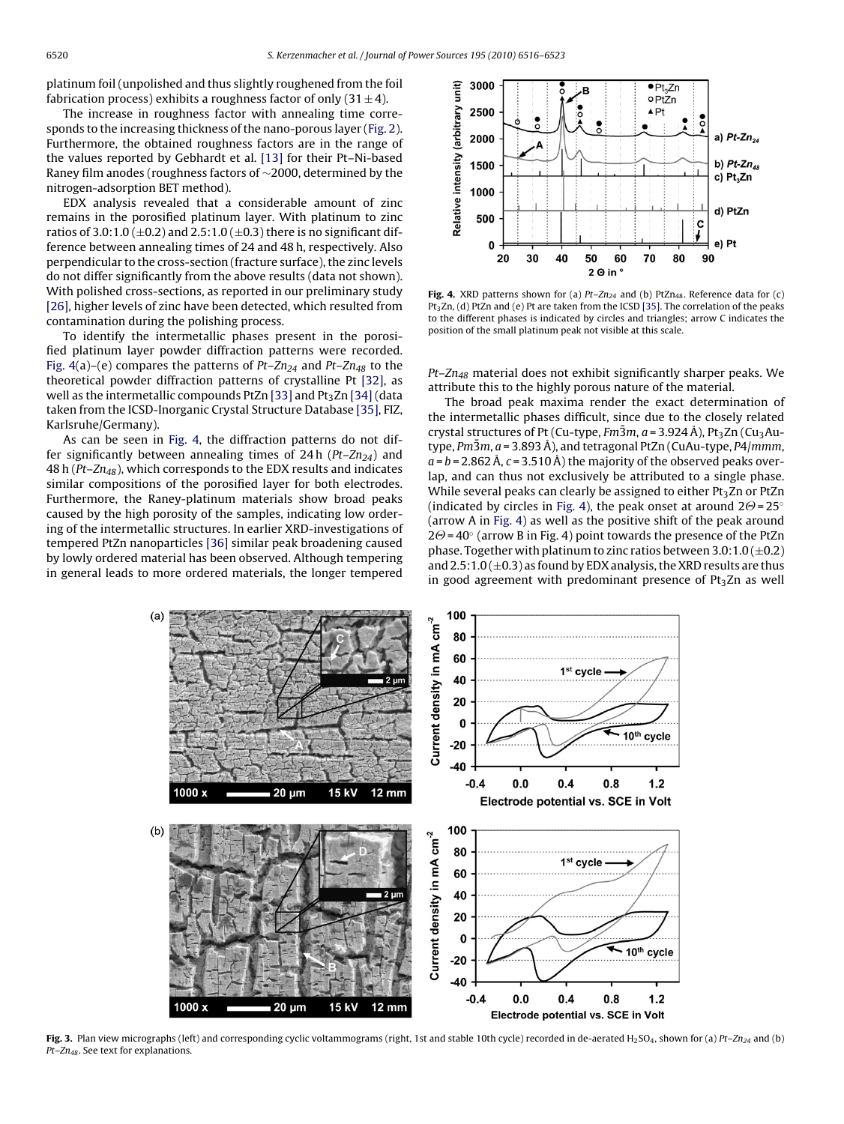<span id="page-4-0"></span>platinum foil (unpolished and thus slightly roughened from the foil fabrication process) exhibits a roughness factor of only  $(31 \pm 4)$ .

The increase in roughness factor with annealing time corresponds to the increasing thickness of the nano-porous layer ([Fig. 2\).](#page-3-0) Furthermore, the obtained roughness factors are in the range of the values reported by Gebhardt et al. [\[13\]](#page-7-0) for their Pt–Ni-based Raney film anodes (roughness factors of ∼2000, determined by the nitrogen-adsorption BET method).

EDX analysis revealed that a considerable amount of zinc remains in the porosified platinum layer. With platinum to zinc ratios of 3.0:1.0 ( $\pm$ 0.2) and 2.5:1.0 ( $\pm$ 0.3) there is no significant difference between annealing times of 24 and 48 h, respectively. Also perpendicular to the cross-section (fracture surface), the zinc levels do not differ significantly from the above results (data not shown). With polished cross-sections, as reported in our preliminary study [\[26\], h](#page-7-0)igher levels of zinc have been detected, which resulted from contamination during the polishing process.

To identify the intermetallic phases present in the porosified platinum layer powder diffraction patterns were recorded. Fig. 4(a)–(e) compares the patterns of  $Pt-Zn_{24}$  and  $Pt-Zn_{48}$  to the theoretical powder diffraction patterns of crystalline Pt [\[32\],](#page-7-0) as well as the intermetallic compounds PtZn [\[33\]](#page-7-0) and Pt<sub>3</sub>Zn [\[34\]](#page-7-0) (data taken from the ICSD-Inorganic Crystal Structure Database [\[35\], F](#page-7-0)IZ, Karlsruhe/Germany).

As can be seen in Fig. 4, the diffraction patterns do not differ significantly between annealing times of 24h ( $Pt$ – $Zn_{24}$ ) and 48 h ( $Pt$ – $Zn_{48}$ ), which corresponds to the EDX results and indicates similar compositions of the porosified layer for both electrodes. Furthermore, the Raney-platinum materials show broad peaks caused by the high porosity of the samples, indicating low ordering of the intermetallic structures. In earlier XRD-investigations of tempered PtZn nanoparticles [\[36\]](#page-7-0) similar peak broadening caused by lowly ordered material has been observed. Although tempering in general leads to more ordered materials, the longer tempered



Fig. 4. XRD patterns shown for (a)  $Pt$ -Zn<sub>24</sub> and (b) PtZn<sub>48</sub>. Reference data for (c) Pt<sub>3</sub>Zn, (d) PtZn and (e) Pt are taken from the ICSD [\[35\]. T](#page-7-0)he correlation of the peaks to the different phases is indicated by circles and triangles; arrow C indicates the position of the small platinum peak not visible at this scale.

 $Pt$ – $Zn_{48}$  material does not exhibit significantly sharper peaks. We attribute this to the highly porous nature of the material.

The broad peak maxima render the exact determination of the intermetallic phases difficult, since due to the closely related crystal structures of Pt (Cu-type,  $Fm\bar{3}m$ ,  $a = 3.924 \text{ Å}$ ), Pt<sub>3</sub>Zn (Cu<sub>3</sub>Autype,  $Pm\bar{3}m$ ,  $a = 3.893 \text{ Å}$ ), and tetragonal PtZn (CuAu-type,  $P4/mmm$ ,  $a = b = 2.862$  Å,  $c = 3.510$  Å) the majority of the observed peaks overlap, and can thus not exclusively be attributed to a single phase. While several peaks can clearly be assigned to either  $Pt<sub>3</sub>Zn$  or PtZn (indicated by circles in Fig. 4), the peak onset at around 2 $\Theta$ =25° (arrow A in Fig. 4) as well as the positive shift of the peak around 2 $\Theta$ =40° (arrow B in Fig. 4) point towards the presence of the PtZn phase. Together with platinum to zinc ratios between  $3.0:1.0 (\pm 0.2)$ and  $2.5:1.0 (\pm 0.3)$  as found by EDX analysis, the XRD results are thus in good agreement with predominant presence of  $Pt<sub>3</sub>Zn$  as well



**Fig. 3.** Plan view micrographs (left) and corresponding cyclic voltammograms (right, 1st and stable 10th cycle) recorded in de-aerated H<sub>2</sub>SO<sub>4</sub>, shown for (a) Pt–Zn<sub>24</sub> and (b)  $Pt$ – $Zn_{48}$ . See text for explanations.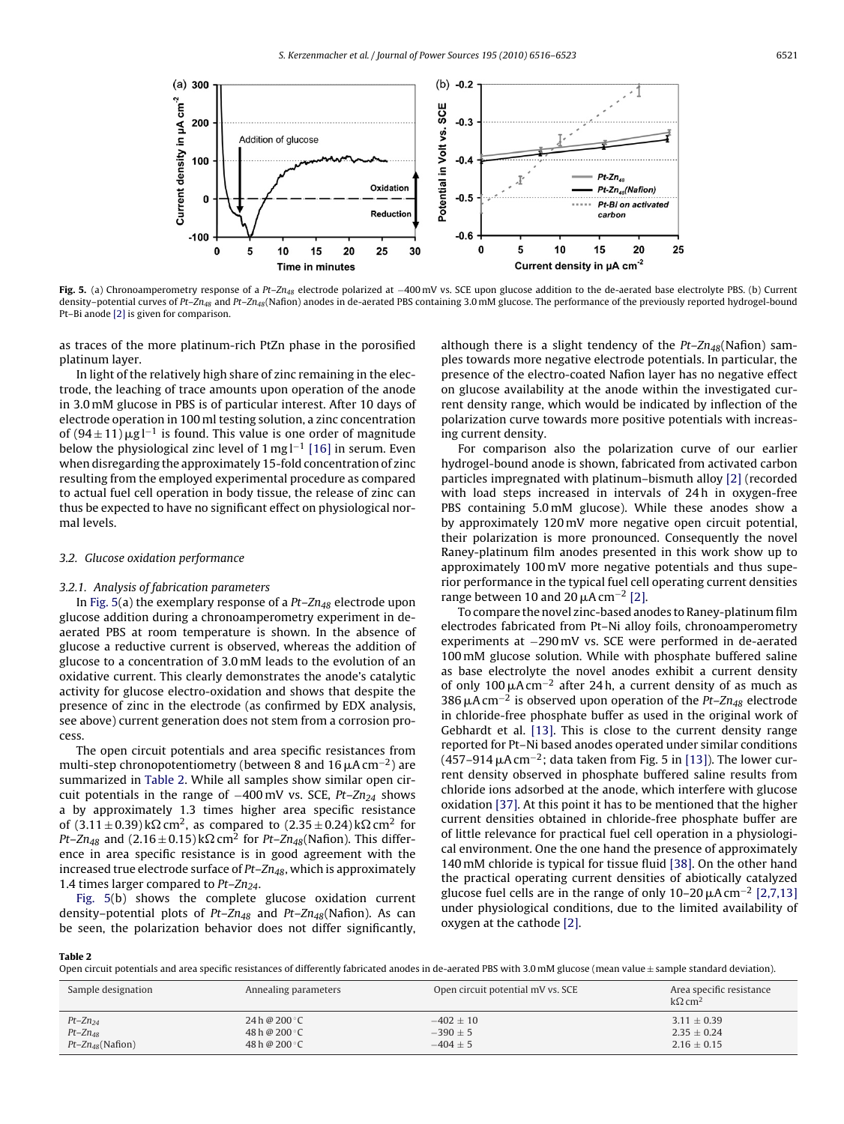

**Fig. 5.** (a) Chronoamperometry response of a Pt-Zn<sub>48</sub> electrode polarized at -400 mV vs. SCE upon glucose addition to the de-aerated base electrolyte PBS. (b) Current density-potential curves of Pt-Zn<sub>48</sub> and Pt-Zn<sub>48</sub>(Nafion) anodes in de-aerated PBS containing 3.0 mM glucose. The performance of the previously reported hydrogel-bound Pt–Bi anode [\[2\]](#page-7-0) is given for comparison.

as traces of the more platinum-rich PtZn phase in the porosified platinum layer.

In light of the relatively high share of zinc remaining in the electrode, the leaching of trace amounts upon operation of the anode in 3.0 mM glucose in PBS is of particular interest. After 10 days of electrode operation in 100 ml testing solution, a zinc concentration of  $(94 \pm 11) \mu g l^{-1}$  is found. This value is one order of magnitude below the physiological zinc level of 1 mg l−<sup>1</sup> [\[16\]](#page-7-0) in serum. Even when disregarding the approximately 15-fold concentration of zinc resulting from the employed experimental procedure as compared to actual fuel cell operation in body tissue, the release of zinc can thus be expected to have no significant effect on physiological normal levels.

#### 3.2. Glucose oxidation performance

#### 3.2.1. Analysis of fabrication parameters

In Fig. 5(a) the exemplary response of a  $Pt$ – $Zn_{48}$  electrode upon glucose addition during a chronoamperometry experiment in deaerated PBS at room temperature is shown. In the absence of glucose a reductive current is observed, whereas the addition of glucose to a concentration of 3.0 mM leads to the evolution of an oxidative current. This clearly demonstrates the anode's catalytic activity for glucose electro-oxidation and shows that despite the presence of zinc in the electrode (as confirmed by EDX analysis, see above) current generation does not stem from a corrosion process.

The open circuit potentials and area specific resistances from multi-step chronopotentiometry (between 8 and 16  $\mu$ A cm<sup>-2</sup>) are summarized in Table 2. While all samples show similar open circuit potentials in the range of  $-400$  mV vs. SCE, Pt–Zn<sub>24</sub> shows a by approximately 1.3 times higher area specific resistance of  $(3.11 \pm 0.39) \text{k}\Omega \text{ cm}^2$ , as compared to  $(2.35 \pm 0.24) \text{k}\Omega \text{ cm}^2$  for Pt–Zn<sub>48</sub> and (2.16  $\pm$  0.15) k $\Omega$  cm<sup>2</sup> for Pt–Zn<sub>48</sub>(Nafion). This difference in area specific resistance is in good agreement with the increased true electrode surface of  $Pt- Zn_{48}$ , which is approximately 1.4 times larger compared to  $Pt-Zn_{24}$ .

Fig. 5(b) shows the complete glucose oxidation current density–potential plots of Pt–Zn<sub>48</sub> and Pt–Zn<sub>48</sub>(Nafion). As can be seen, the polarization behavior does not differ significantly, although there is a slight tendency of the  $Pt-Zn_{48}$ (Nafion) samples towards more negative electrode potentials. In particular, the presence of the electro-coated Nafion layer has no negative effect on glucose availability at the anode within the investigated current density range, which would be indicated by inflection of the polarization curve towards more positive potentials with increasing current density.

For comparison also the polarization curve of our earlier hydrogel-bound anode is shown, fabricated from activated carbon particles impregnated with platinum–bismuth alloy [\[2\]](#page-7-0) (recorded with load steps increased in intervals of 24 h in oxygen-free PBS containing 5.0 mM glucose). While these anodes show a by approximately 120 mV more negative open circuit potential, their polarization is more pronounced. Consequently the novel Raney-platinum film anodes presented in this work show up to approximately 100 mV more negative potentials and thus superior performance in the typical fuel cell operating current densities range between 10 and 20  $\mu$ A cm<sup>-2</sup> [\[2\].](#page-7-0)

To compare the novel zinc-based anodes to Raney-platinum film electrodes fabricated from Pt–Ni alloy foils, chronoamperometry experiments at −290 mV vs. SCE were performed in de-aerated 100 mM glucose solution. While with phosphate buffered saline as base electrolyte the novel anodes exhibit a current density of only 100  $\mu$ A cm<sup>-2</sup> after 24 h, a current density of as much as 386  $\mu$ A cm<sup>-2</sup> is observed upon operation of the Pt–Zn<sub>48</sub> electrode in chloride-free phosphate buffer as used in the original work of Gebhardt et al. [\[13\].](#page-7-0) This is close to the current density range reported for Pt–Ni based anodes operated under similar conditions  $(457-914 \,\mu A \,\text{cm}^{-2})$ ; data taken from Fig. 5 in [\[13\]\).](#page-7-0) The lower current density observed in phosphate buffered saline results from chloride ions adsorbed at the anode, which interfere with glucose oxidation [\[37\]. A](#page-7-0)t this point it has to be mentioned that the higher current densities obtained in chloride-free phosphate buffer are of little relevance for practical fuel cell operation in a physiological environment. One the one hand the presence of approximately 140 mM chloride is typical for tissue fluid [\[38\]. O](#page-7-0)n the other hand the practical operating current densities of abiotically catalyzed glucose fuel cells are in the range of only  $10-20 \mu A \text{ cm}^{-2}$  [\[2,7,13\]](#page-7-0) under physiological conditions, due to the limited availability of oxygen at the cathode [\[2\].](#page-7-0)

**Table 2**

Open circuit potentials and area specific resistances of differently fabricated anodes in de-aerated PBS with 3.0 mM glucose (mean value  $\pm$  sample standard deviation).

| Sample designation        | Annealing parameters | Open circuit potential mV vs. SCE | Area specific resistance<br>$k\Omega$ cm <sup>2</sup> |
|---------------------------|----------------------|-----------------------------------|-------------------------------------------------------|
| $Pt - Zn_{24}$            | 24 h @ 200 °C        | $-402 \pm 10$                     | $3.11 \pm 0.39$                                       |
| $Pt$ – $Zn_{48}$          | 48 h @ 200 °C        | $-390 \pm 5$                      | $2.35 \pm 0.24$                                       |
| $Pt$ – $Zn_{48}$ (Nafion) | 48 h @ 200 °C        | $-404 \pm 5$                      | $2.16 \pm 0.15$                                       |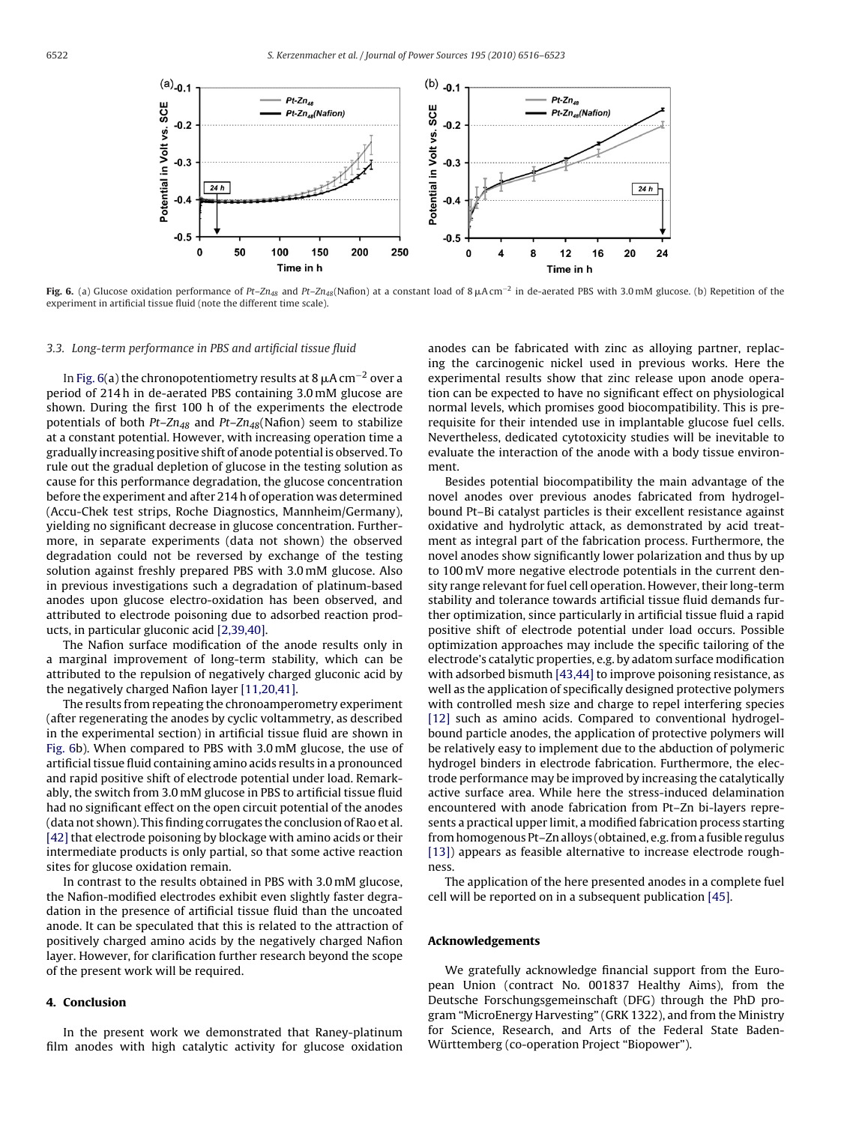

**Fig. 6.** (a) Glucose oxidation performance of Pt–Zn<sub>48</sub> and Pt–Zn<sub>48</sub>(Nafion) at a constant load of 8 μAcm<sup>−2</sup> in de-aerated PBS with 3.0 mM glucose. (b) Repetition of the experiment in artificial tissue fluid (note the different time scale).

# 3.3. Long-term performance in PBS and artificial tissue fluid

In Fig. 6(a) the chronopotentiometry results at 8  $\mu$ A cm $^{-2}$  over a period of 214 h in de-aerated PBS containing 3.0 mM glucose are shown. During the first 100 h of the experiments the electrode potentials of both  $Pt - Zn_{48}$  and  $Pt - Zn_{48}$ (Nafion) seem to stabilize at a constant potential. However, with increasing operation time a gradually increasing positive shift of anode potential is observed. To rule out the gradual depletion of glucose in the testing solution as cause for this performance degradation, the glucose concentration before the experiment and after 214 h of operation was determined (Accu-Chek test strips, Roche Diagnostics, Mannheim/Germany), yielding no significant decrease in glucose concentration. Furthermore, in separate experiments (data not shown) the observed degradation could not be reversed by exchange of the testing solution against freshly prepared PBS with 3.0 mM glucose. Also in previous investigations such a degradation of platinum-based anodes upon glucose electro-oxidation has been observed, and attributed to electrode poisoning due to adsorbed reaction products, in particular gluconic acid [\[2,39,40\].](#page-7-0)

The Nafion surface modification of the anode results only in a marginal improvement of long-term stability, which can be attributed to the repulsion of negatively charged gluconic acid by the negatively charged Nafion layer [\[11,20,41\].](#page-7-0)

The results from repeating the chronoamperometry experiment (after regenerating the anodes by cyclic voltammetry, as described in the experimental section) in artificial tissue fluid are shown in Fig. 6b). When compared to PBS with 3.0 mM glucose, the use of artificial tissue fluid containing amino acids results in a pronounced and rapid positive shift of electrode potential under load. Remarkably, the switch from 3.0 mM glucose in PBS to artificial tissue fluid had no significant effect on the open circuit potential of the anodes (data not shown). This finding corrugates the conclusion of Rao et al. [\[42\]](#page-7-0) that electrode poisoning by blockage with amino acids or their intermediate products is only partial, so that some active reaction sites for glucose oxidation remain.

In contrast to the results obtained in PBS with 3.0 mM glucose, the Nafion-modified electrodes exhibit even slightly faster degradation in the presence of artificial tissue fluid than the uncoated anode. It can be speculated that this is related to the attraction of positively charged amino acids by the negatively charged Nafion layer. However, for clarification further research beyond the scope of the present work will be required.

# **4. Conclusion**

In the present work we demonstrated that Raney-platinum film anodes with high catalytic activity for glucose oxidation anodes can be fabricated with zinc as alloying partner, replacing the carcinogenic nickel used in previous works. Here the experimental results show that zinc release upon anode operation can be expected to have no significant effect on physiological normal levels, which promises good biocompatibility. This is prerequisite for their intended use in implantable glucose fuel cells. Nevertheless, dedicated cytotoxicity studies will be inevitable to evaluate the interaction of the anode with a body tissue environment.

Besides potential biocompatibility the main advantage of the novel anodes over previous anodes fabricated from hydrogelbound Pt–Bi catalyst particles is their excellent resistance against oxidative and hydrolytic attack, as demonstrated by acid treatment as integral part of the fabrication process. Furthermore, the novel anodes show significantly lower polarization and thus by up to 100 mV more negative electrode potentials in the current density range relevant for fuel cell operation. However, their long-term stability and tolerance towards artificial tissue fluid demands further optimization, since particularly in artificial tissue fluid a rapid positive shift of electrode potential under load occurs. Possible optimization approaches may include the specific tailoring of the electrode's catalytic properties, e.g. by adatom surface modification with adsorbed bismuth [\[43,44\]](#page-7-0) to improve poisoning resistance, as well as the application of specifically designed protective polymers with controlled mesh size and charge to repel interfering species [\[12\]](#page-7-0) such as amino acids. Compared to conventional hydrogelbound particle anodes, the application of protective polymers will be relatively easy to implement due to the abduction of polymeric hydrogel binders in electrode fabrication. Furthermore, the electrode performance may be improved by increasing the catalytically active surface area. While here the stress-induced delamination encountered with anode fabrication from Pt–Zn bi-layers represents a practical upper limit, a modified fabrication process starting from homogenous Pt–Zn alloys (obtained, e.g. from a fusible regulus [\[13\]\)](#page-7-0) appears as feasible alternative to increase electrode roughness.

The application of the here presented anodes in a complete fuel cell will be reported on in a subsequent publication [\[45\].](#page-7-0)

#### **Acknowledgements**

We gratefully acknowledge financial support from the European Union (contract No. 001837 Healthy Aims), from the Deutsche Forschungsgemeinschaft (DFG) through the PhD program "MicroEnergy Harvesting" (GRK 1322), and from the Ministry for Science, Research, and Arts of the Federal State Baden-Württemberg (co-operation Project "Biopower").